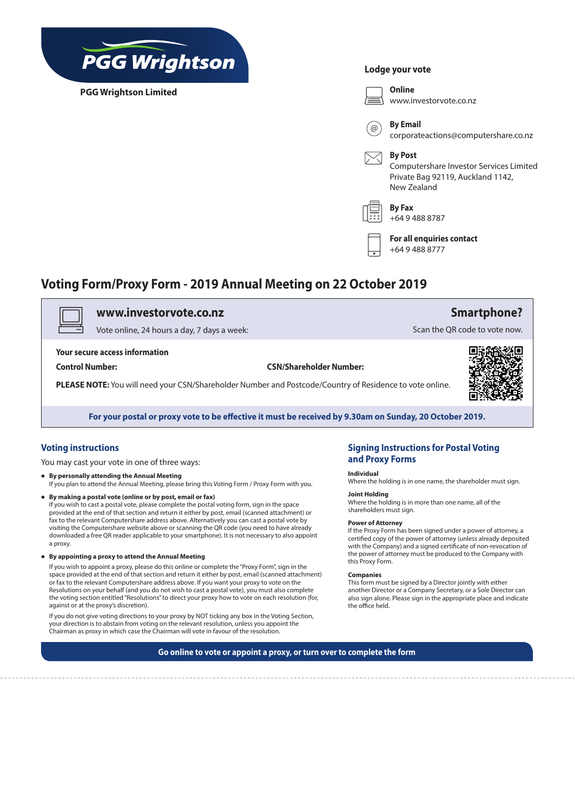

**PGG Wrightson Limited**

### **Lodge your vote**



# **Voting Form/Proxy Form - 2019 Annual Meeting on 22 October 2019**

## v **www.investorvote.co.nz**

Vote online, 24 hours a day, 7 days a week:

#### **Your secure access information**

**Control Number: CSN/Shareholder Number:**

**PLEASE NOTE:** You will need your CSN/Shareholder Number and Postcode/Country of Residence to vote online.



**Smartphone?**

Scan the QR code to vote now.

**For your postal or proxy vote to be effective it must be received by 9.30am on Sunday, 20 October 2019.**

## **Voting instructions**

You may cast your vote in one of three ways:

- **• By personally attending the Annual Meeting** If you plan to attend the Annual Meeting, please bring this Voting Form / Proxy Form with you.
- **• By making a postal vote (online or by post, email or fax)**  If you wish to cast a postal vote, please complete the postal voting form, sign in the space provided at the end of that section and return it either by post, email (scanned attachment) or fax to the relevant Computershare address above. Alternatively you can cast a postal vote by visiting the Computershare website above or scanning the QR code (you need to have already downloaded a free QR reader applicable to your smartphone). It is not necessary to also appoint a proxy.
- **• By appointing a proxy to attend the Annual Meeting**

If you wish to appoint a proxy, please do this online or complete the "Proxy Form", sign in the space provided at the end of that section and return it either by post, email (scanned attachment) or fax to the relevant Computershare address above. If you want your proxy to vote on the Resolutions on your behalf (and you do not wish to cast a postal vote), you must also complete the voting section entitled "Resolutions" to direct your proxy how to vote on each resolution (for, against or at the proxy's discretion).

If you do not give voting directions to your proxy by NOT ticking any box in the Voting Section, your direction is to abstain from voting on the relevant resolution, unless you appoint the Chairman as proxy in which case the Chairman will vote in favour of the resolution.

## **Signing Instructions for Postal Voting and Proxy Forms**

#### **Individual**

Where the holding is in one name, the shareholder must sign.

### **Joint Holding**

Where the holding is in more than one name, all of the shareholders must sign.

**Power of Attorney** If the Proxy Form has been signed under a power of attorney, a certified copy of the power of attorney (unless already deposited with the Company) and a signed certificate of non-revocation of the power of attorney must be produced to the Company with this Proxy Form.

#### **Companies**

This form must be signed by a Director jointly with either another Director or a Company Secretary, or a Sole Director can also sign alone. Please sign in the appropriate place and indicate the office held.

**Go online to vote or appoint a proxy, or turn over to complete the form**